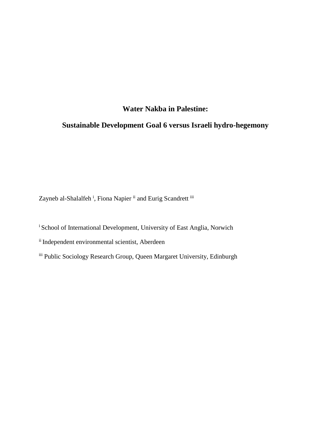# **Water Nakba in Palestine:**

# **Sustainable Development Goal 6 versus Israeli hydro-hegemony**

Zayneb al-Shalalfeh<sup>i</sup>, Fiona Napier <sup>ii</sup> and Eurig Scandrett <sup>iii</sup>

<sup>i</sup> School of International Development, University of East Anglia, Norwich

ii Independent environmental scientist, Aberdeen

iii Public Sociology Research Group, Queen Margaret University, Edinburgh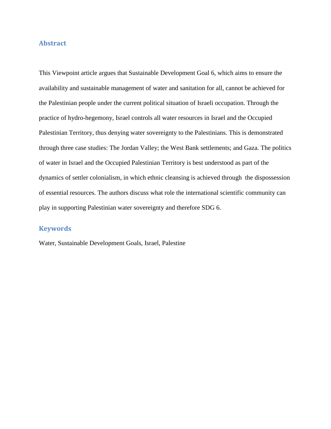# **Abstract**

This Viewpoint article argues that Sustainable Development Goal 6, which aims to ensure the availability and sustainable management of water and sanitation for all, cannot be achieved for the Palestinian people under the current political situation of Israeli occupation. Through the practice of hydro-hegemony, Israel controls all water resources in Israel and the Occupied Palestinian Territory, thus denying water sovereignty to the Palestinians. This is demonstrated through three case studies: The Jordan Valley; the West Bank settlements; and Gaza. The politics of water in Israel and the Occupied Palestinian Territory is best understood as part of the dynamics of settler colonialism, in which ethnic cleansing is achieved through the dispossession of essential resources. The authors discuss what role the international scientific community can play in supporting Palestinian water sovereignty and therefore SDG 6.

### **Keywords**

Water, Sustainable Development Goals, Israel, Palestine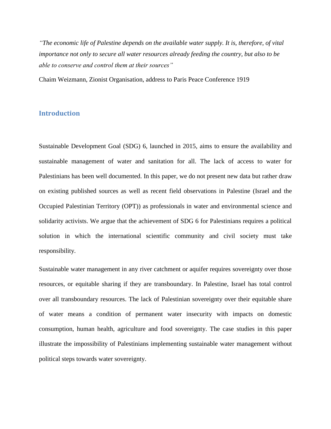*"The economic life of Palestine depends on the available water supply. It is, therefore, of vital importance not only to secure all water resources already feeding the country, but also to be able to conserve and control them at their sources"* 

Chaim Weizmann, Zionist Organisation, address to Paris Peace Conference 1919

# **Introduction**

Sustainable Development Goal (SDG) 6, launched in 2015, aims to ensure the availability and sustainable management of water and sanitation for all. The lack of access to water for Palestinians has been well documented. In this paper, we do not present new data but rather draw on existing published sources as well as recent field observations in Palestine (Israel and the Occupied Palestinian Territory (OPT)) as professionals in water and environmental science and solidarity activists. We argue that the achievement of SDG 6 for Palestinians requires a political solution in which the international scientific community and civil society must take responsibility.

Sustainable water management in any river catchment or aquifer requires sovereignty over those resources, or equitable sharing if they are transboundary. In Palestine, Israel has total control over all transboundary resources. The lack of Palestinian sovereignty over their equitable share of water means a condition of permanent water insecurity with impacts on domestic consumption, human health, agriculture and food sovereignty. The case studies in this paper illustrate the impossibility of Palestinians implementing sustainable water management without political steps towards water sovereignty.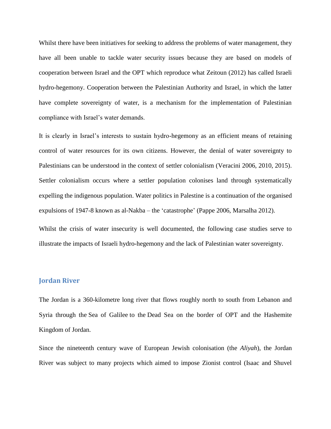Whilst there have been initiatives for seeking to address the problems of water management, they have all been unable to tackle water security issues because they are based on models of cooperation between Israel and the OPT which reproduce what Zeitoun (2012) has called Israeli hydro-hegemony. Cooperation between the Palestinian Authority and Israel, in which the latter have complete sovereignty of water, is a mechanism for the implementation of Palestinian compliance with Israel's water demands.

It is clearly in Israel's interests to sustain hydro-hegemony as an efficient means of retaining control of water resources for its own citizens. However, the denial of water sovereignty to Palestinians can be understood in the context of settler colonialism (Veracini 2006, 2010, 2015). Settler colonialism occurs where a settler population colonises land through systematically expelling the indigenous population. Water politics in Palestine is a continuation of the organised expulsions of 1947-8 known as al-Nakba – the 'catastrophe' (Pappe 2006, Marsalha 2012).

Whilst the crisis of water insecurity is well documented, the following case studies serve to illustrate the impacts of Israeli hydro-hegemony and the lack of Palestinian water sovereignty.

# **Jordan River**

The Jordan is a 360-kilometre long river that flows roughly north to south from Lebanon and Syria through the [Sea of Galilee](https://en.wikipedia.org/wiki/Sea_of_Galilee%22%20%5Co%20%22Sea%20of%20Galilee) to the [Dead Sea](https://en.wikipedia.org/wiki/Dead_Sea%22%20%5Co%20%22Dead%20Sea) on the border of OPT and the Hashemite Kingdom of Jordan.

Since the nineteenth century wave of European Jewish colonisation (the *Aliyah*), the Jordan River was subject to many projects which aimed to impose Zionist control (Isaac and Shuvel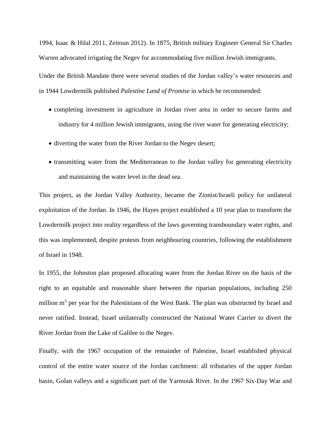1994, Isaac & Hilal 2011, Zeitoun 2012). In 1875, British military Engineer General Sir Charles Warren advocated irrigating the Negev for accommodating five million Jewish immigrants.

Under the British Mandate there were several studies of the Jordan valley's water resources and in 1944 Lowdermilk published *Palestine Land of Promise* in which he recommended:

- completing investment in agriculture in Jordan river area in order to secure farms and industry for 4 million Jewish immigrants, using the river water for generating electricity;
- diverting the water from the River Jordan to the Negev desert;
- transmitting water from the Mediterranean to the Jordan valley for generating electricity and maintaining the water level in the dead sea.

This project, as the Jordan Valley Authority, became the Zionist/Israeli policy for unilateral exploitation of the Jordan. In 1946, the Hayes project established a 10 year plan to transform the Lowdermilk project into reality regardless of the laws governing transboundary water rights, and this was implemented, despite protests from neighbouring countries, following the establishment of Israel in 1948.

In 1955, the Johnston plan proposed allocating water from the Jordan River on the basis of the right to an equitable and reasonable share between the riparian populations, including 250 million m<sup>3</sup> per year for the Palestinians of the West Bank. The plan was obstructed by Israel and never ratified. Instead, Israel unilaterally constructed the National Water Carrier to divert the River Jordan from the Lake of Galilee to the Negev.

Finally, with the 1967 occupation of the remainder of Palestine, Israel established physical control of the entire water source of the Jordan catchment: all tributaries of the upper Jordan basin, Golan valleys and a significant part of the Yarmouk River. In the 1967 Six-Day War and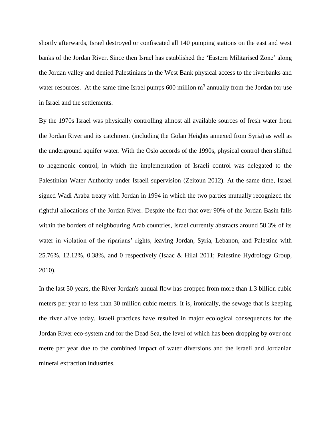shortly afterwards, Israel destroyed or confiscated all 140 pumping stations on the east and west banks of the Jordan River. Since then Israel has established the 'Eastern Militarised Zone' along the Jordan valley and denied Palestinians in the West Bank physical access to the riverbanks and water resources. At the same time Israel pumps  $600$  million  $m<sup>3</sup>$  annually from the Jordan for use in Israel and the settlements.

By the 1970s Israel was physically controlling almost all available sources of fresh water from the Jordan River and its catchment (including the Golan Heights annexed from Syria) as well as the underground aquifer water. With the Oslo accords of the 1990s, physical control then shifted to hegemonic control, in which the implementation of Israeli control was delegated to the Palestinian Water Authority under Israeli supervision (Zeitoun 2012). At the same time, Israel signed Wadi Araba treaty with Jordan in 1994 in which the two parties mutually recognized the rightful allocations of the Jordan River. Despite the fact that over 90% of the Jordan Basin falls within the borders of neighbouring Arab countries, Israel currently abstracts around 58.3% of its water in violation of the riparians' rights, leaving Jordan, Syria, Lebanon, and Palestine with 25.76%, 12.12%, 0.38%, and 0 respectively (Isaac & Hilal 2011; Palestine Hydrology Group, 2010).

In the last 50 years, the River Jordan's annual flow has dropped from more than 1.3 billion cubic meters per year to less than 30 million cubic meters. It is, ironically, the sewage that is keeping the river alive today. Israeli practices have resulted in major ecological consequences for the Jordan River eco-system and for the Dead Sea, the level of which has been dropping by over one metre per year due to the combined impact of water diversions and the Israeli and Jordanian mineral extraction industries.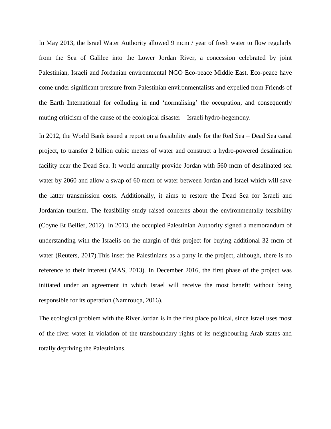In May 2013, the Israel Water Authority allowed 9 mcm / year of fresh water to flow regularly from the Sea of Galilee into the Lower Jordan River, a concession celebrated by joint Palestinian, Israeli and Jordanian environmental NGO Eco-peace Middle East. Eco-peace have come under significant pressure from Palestinian environmentalists and expelled from Friends of the Earth International for colluding in and 'normalising' the occupation, and consequently muting criticism of the cause of the ecological disaster – Israeli hydro-hegemony.

In 2012, the World Bank issued a report on a feasibility study for the Red Sea – Dead Sea canal project, to transfer 2 billion cubic meters of water and construct a hydro-powered desalination facility near the Dead Sea. It would annually provide Jordan with 560 mcm of desalinated sea water by 2060 and allow a swap of 60 mcm of water between Jordan and Israel which will save the latter transmission costs. Additionally, it aims to restore the Dead Sea for Israeli and Jordanian tourism. The feasibility study raised concerns about the environmentally feasibility (Coyne Et Bellier, 2012). In 2013, the occupied Palestinian Authority signed a memorandum of understanding with the Israelis on the margin of this project for buying additional 32 mcm of water (Reuters, 2017).This inset the Palestinians as a party in the project, although, there is no reference to their interest (MAS, 2013). In December 2016, the first phase of the project was initiated under an agreement in which Israel will receive the most benefit without being responsible for its operation (Namrouqa, 2016).

The ecological problem with the River Jordan is in the first place political, since Israel uses most of the river water in violation of the transboundary rights of its neighbouring Arab states and totally depriving the Palestinians.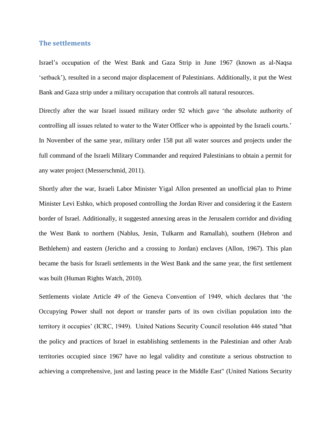#### **The settlements**

Israel's occupation of the West Bank and Gaza Strip in June 1967 (known as al-Naqsa 'setback'), resulted in a second major displacement of Palestinians. Additionally, it put the West Bank and Gaza strip under a military occupation that controls all natural resources.

Directly after the war Israel issued military order 92 which gave 'the absolute authority of controlling all issues related to water to the Water Officer who is appointed by the Israeli courts.' In November of the same year, military order 158 put all water sources and projects under the full command of the Israeli Military Commander and required Palestinians to obtain a permit for any water project (Messerschmid, 2011).

Shortly after the war, Israeli Labor Minister Yigal Allon presented an unofficial plan to Prime Minister Levi Eshko, which proposed controlling the Jordan River and considering it the Eastern border of Israel. Additionally, it suggested annexing areas in the Jerusalem corridor and dividing the West Bank to northern (Nablus, Jenin, Tulkarm and Ramallah), southern (Hebron and Bethlehem) and eastern (Jericho and a crossing to Jordan) enclaves (Allon, 1967). This plan became the basis for Israeli settlements in the West Bank and the same year, the first settlement was built (Human Rights Watch, 2010).

Settlements violate Article 49 of the Geneva Convention of 1949, which declares that 'the Occupying Power shall not deport or transfer parts of its own civilian population into the territory it occupies' (ICRC, 1949). United Nations Security Council resolution 446 stated "that the policy and practices of Israel in establishing settlements in the Palestinian and other Arab territories occupied since 1967 have no legal validity and constitute a serious obstruction to achieving a comprehensive, just and lasting peace in the Middle East" (United Nations Security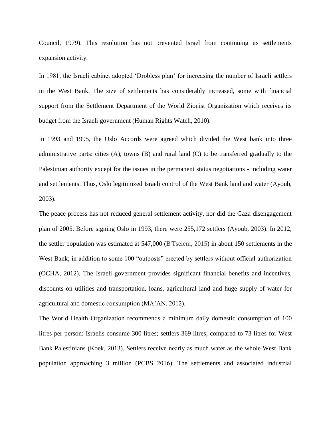Council, 1979). This resolution has not prevented Israel from continuing its settlements expansion activity.

In 1981, the Israeli cabinet adopted 'Drobless plan' for increasing the number of Israeli settlers in the West Bank. The size of settlements has considerably increased, some with financial support from the Settlement Department of the World Zionist Organization which receives its budget from the Israeli government (Human Rights Watch, 2010).

In 1993 and 1995, the Oslo Accords were agreed which divided the West bank into three administrative parts: cities (A), towns (B) and rural land (C) to be transferred gradually to the Palestinian authority except for the issues in the permanent status negotiations - including water and settlements. Thus, Oslo legitimized Israeli control of the West Bank land and water (Ayoub, 2003).

The peace process has not reduced general settlement activity, nor did the Gaza disengagement plan of 2005. Before signing Oslo in 1993, there were 255,172 settlers (Ayoub, 2003). In 2012, the settler population was estimated at 547,000 (B'Tselem, 2015) in about 150 settlements in the West Bank; in addition to some 100 "outposts" erected by settlers without official authorization (OCHA, 2012). The Israeli government provides significant financial benefits and incentives, discounts on utilities and transportation, loans, agricultural land and huge supply of water for agricultural and domestic consumption (MA'AN, 2012).

The World Health Organization recommends a minimum daily domestic consumption of 100 litres per person: Israelis consume 300 litres; settlers 369 litres; compared to 73 litres for West Bank Palestinians (Koek, 2013). Settlers receive nearly as much water as the whole West Bank population approaching 3 million (PCBS 2016). The settlements and associated industrial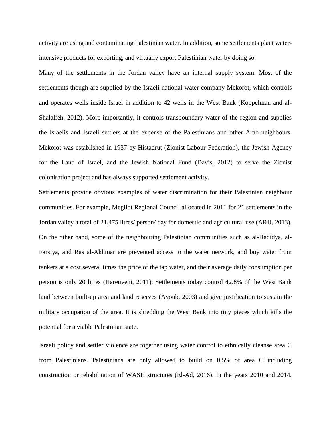activity are using and contaminating Palestinian water. In addition, some settlements plant waterintensive products for exporting, and virtually export Palestinian water by doing so.

Many of the settlements in the Jordan valley have an internal supply system. Most of the settlements though are supplied by the Israeli national water company Mekorot, which controls and operates wells inside Israel in addition to 42 wells in the West Bank (Koppelman and al-Shalalfeh, 2012). More importantly, it controls transboundary water of the region and supplies the Israelis and Israeli settlers at the expense of the Palestinians and other Arab neighbours. Mekorot was established in 1937 by Histadrut (Zionist Labour Federation), the Jewish Agency for the Land of Israel, and the Jewish National Fund (Davis, 2012) to serve the Zionist colonisation project and has always supported settlement activity.

Settlements provide obvious examples of water discrimination for their Palestinian neighbour communities. For example, Megilot Regional Council allocated in 2011 for 21 settlements in the Jordan valley a total of 21,475 litres/ person/ day for domestic and agricultural use (ARIJ, 2013). On the other hand, some of the neighbouring Palestinian communities such as al-Hadidya, al-Farsiya, and Ras al-Akhmar are prevented access to the water network, and buy water from tankers at a cost several times the price of the tap water, and their average daily consumption per person is only 20 litres (Hareuveni, 2011). Settlements today control 42.8% of the West Bank land between built-up area and land reserves (Ayoub, 2003) and give justification to sustain the military occupation of the area. It is shredding the West Bank into tiny pieces which kills the potential for a viable Palestinian state.

Israeli policy and settler violence are together using water control to ethnically cleanse area C from Palestinians. Palestinians are only allowed to build on 0.5% of area C including construction or rehabilitation of WASH structures (El-Ad, 2016). In the years 2010 and 2014,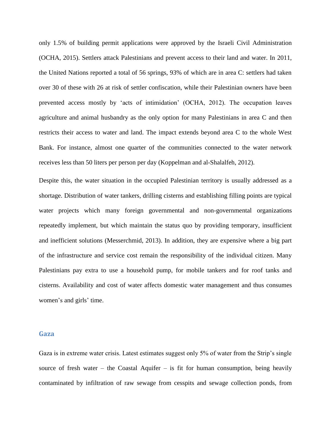only 1.5% of building permit applications were approved by the Israeli Civil Administration (OCHA, 2015). Settlers attack Palestinians and prevent access to their land and water. In 2011, the United Nations reported a total of 56 springs, 93% of which are in area C: settlers had taken over 30 of these with 26 at risk of settler confiscation, while their Palestinian owners have been prevented access mostly by 'acts of intimidation' (OCHA, 2012). The occupation leaves agriculture and animal husbandry as the only option for many Palestinians in area C and then restricts their access to water and land. The impact extends beyond area C to the whole West Bank. For instance, almost one quarter of the communities connected to the water network receives less than 50 liters per person per day (Koppelman and al-Shalalfeh, 2012).

Despite this, the water situation in the occupied Palestinian territory is usually addressed as a shortage. Distribution of water tankers, drilling cisterns and establishing filling points are typical water projects which many foreign governmental and non-governmental organizations repeatedly implement, but which maintain the status quo by providing temporary, insufficient and inefficient solutions (Messerchmid, 2013). In addition, they are expensive where a big part of the infrastructure and service cost remain the responsibility of the individual citizen. Many Palestinians pay extra to use a household pump, for mobile tankers and for roof tanks and cisterns. Availability and cost of water affects domestic water management and thus consumes women's and girls' time.

#### **Gaza**

Gaza is in extreme water crisis. Latest estimates suggest only 5% of water from the Strip's single source of fresh water – the Coastal Aquifer – is fit for human consumption, being heavily contaminated by infiltration of raw sewage from cesspits and sewage collection ponds, from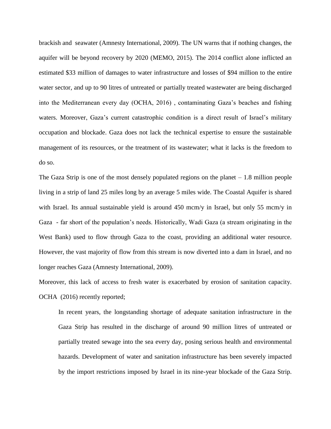brackish and seawater (Amnesty International, 2009). The UN warns that if nothing changes, the aquifer will be beyond recovery by 2020 (MEMO, 2015). The 2014 conflict alone inflicted an estimated \$33 million of damages to water infrastructure and losses of \$94 million to the entire water sector, and up to 90 litres of untreated or partially treated wastewater are being discharged into the Mediterranean every day (OCHA, 2016) , contaminating Gaza's beaches and fishing waters. Moreover, Gaza's current catastrophic condition is a direct result of Israel's military occupation and blockade. Gaza does not lack the technical expertise to ensure the sustainable management of its resources, or the treatment of its wastewater; what it lacks is the freedom to do so.

The Gaza Strip is one of the most densely populated regions on the planet – 1.8 million people living in a strip of land 25 miles long by an average 5 miles wide. The Coastal Aquifer is shared with Israel. Its annual sustainable yield is around 450 mcm/y in Israel, but only 55 mcm/y in Gaza - far short of the population's needs. Historically, Wadi Gaza (a stream originating in the West Bank) used to flow through Gaza to the coast, providing an additional water resource. However, the vast majority of flow from this stream is now diverted into a dam in Israel, and no longer reaches Gaza (Amnesty International, 2009).

Moreover, this lack of access to fresh water is exacerbated by erosion of sanitation capacity. OCHA (2016) recently reported;

In recent years, the longstanding shortage of adequate sanitation infrastructure in the Gaza Strip has resulted in the discharge of around 90 million litres of untreated or partially treated sewage into the sea every day, posing serious health and environmental hazards. Development of water and sanitation infrastructure has been severely impacted by the import restrictions imposed by Israel in its nine-year blockade of the Gaza Strip.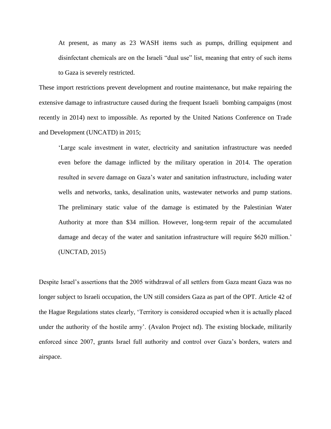At present, as many as 23 WASH items such as pumps, drilling equipment and disinfectant chemicals are on the Israeli "dual use" list, meaning that entry of such items to Gaza is severely restricted.

These import restrictions prevent development and routine maintenance, but make repairing the extensive damage to infrastructure caused during the frequent Israeli bombing campaigns (most recently in 2014) next to impossible. As reported by the United Nations Conference on Trade and Development (UNCATD) in 2015;

'Large scale investment in water, electricity and sanitation infrastructure was needed even before the damage inflicted by the military operation in 2014. The operation resulted in severe damage on Gaza's water and sanitation infrastructure, including water wells and networks, tanks, desalination units, wastewater networks and pump stations. The preliminary static value of the damage is estimated by the Palestinian Water Authority at more than \$34 million. However, long-term repair of the accumulated damage and decay of the water and sanitation infrastructure will require \$620 million.' (UNCTAD, 2015)

Despite Israel's assertions that the 2005 withdrawal of all settlers from Gaza meant Gaza was no longer subject to Israeli occupation, the UN still considers Gaza as part of the OPT. Article 42 of the Hague Regulations states clearly, 'Territory is considered occupied when it is actually placed under the authority of the hostile army'. (Avalon Project nd). The existing blockade, militarily enforced since 2007, grants Israel full authority and control over Gaza's borders, waters and airspace.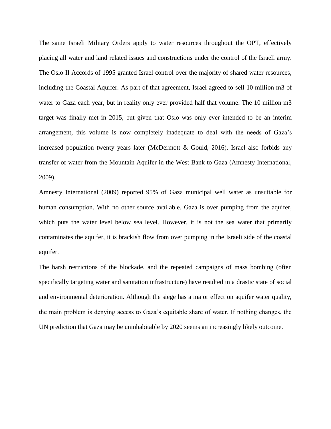The same Israeli Military Orders apply to water resources throughout the OPT, effectively placing all water and land related issues and constructions under the control of the Israeli army. The Oslo II Accords of 1995 granted Israel control over the majority of shared water resources, including the Coastal Aquifer. As part of that agreement, Israel agreed to sell 10 million m3 of water to Gaza each year, but in reality only ever provided half that volume. The 10 million m3 target was finally met in 2015, but given that Oslo was only ever intended to be an interim arrangement, this volume is now completely inadequate to deal with the needs of Gaza's increased population twenty years later (McDermott & Gould, 2016). Israel also forbids any transfer of water from the Mountain Aquifer in the West Bank to Gaza (Amnesty International, 2009).

Amnesty International (2009) reported 95% of Gaza municipal well water as unsuitable for human consumption. With no other source available, Gaza is over pumping from the aquifer, which puts the water level below sea level. However, it is not the sea water that primarily contaminates the aquifer, it is brackish flow from over pumping in the Israeli side of the coastal aquifer.

The harsh restrictions of the blockade, and the repeated campaigns of mass bombing (often specifically targeting water and sanitation infrastructure) have resulted in a drastic state of social and environmental deterioration. Although the siege has a major effect on aquifer water quality, the main problem is denying access to Gaza's equitable share of water. If nothing changes, the UN prediction that Gaza may be uninhabitable by 2020 seems an increasingly likely outcome.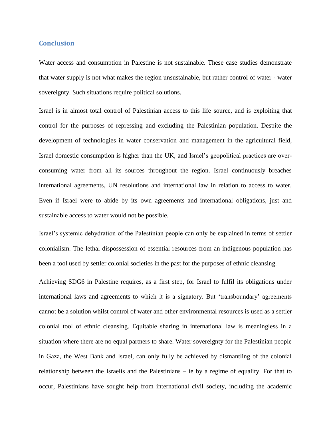### **Conclusion**

Water access and consumption in Palestine is not sustainable. These case studies demonstrate that water supply is not what makes the region unsustainable, but rather control of water - water sovereignty. Such situations require political solutions.

Israel is in almost total control of Palestinian access to this life source, and is exploiting that control for the purposes of repressing and excluding the Palestinian population. Despite the development of technologies in water conservation and management in the agricultural field, Israel domestic consumption is higher than the UK, and Israel's geopolitical practices are overconsuming water from all its sources throughout the region. Israel continuously breaches international agreements, UN resolutions and international law in relation to access to water. Even if Israel were to abide by its own agreements and international obligations, just and sustainable access to water would not be possible.

Israel's systemic dehydration of the Palestinian people can only be explained in terms of settler colonialism. The lethal dispossession of essential resources from an indigenous population has been a tool used by settler colonial societies in the past for the purposes of ethnic cleansing.

Achieving SDG6 in Palestine requires, as a first step, for Israel to fulfil its obligations under international laws and agreements to which it is a signatory. But 'transboundary' agreements cannot be a solution whilst control of water and other environmental resources is used as a settler colonial tool of ethnic cleansing. Equitable sharing in international law is meaningless in a situation where there are no equal partners to share. Water sovereignty for the Palestinian people in Gaza, the West Bank and Israel, can only fully be achieved by dismantling of the colonial relationship between the Israelis and the Palestinians – ie by a regime of equality. For that to occur, Palestinians have sought help from international civil society, including the academic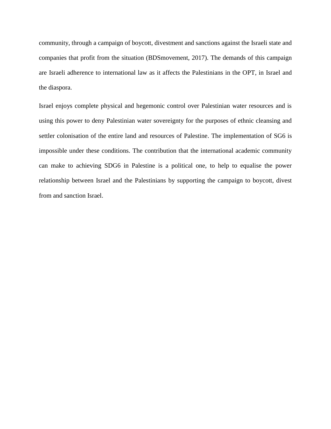community, through a campaign of boycott, divestment and sanctions against the Israeli state and companies that profit from the situation (BDSmovement, 2017). The demands of this campaign are Israeli adherence to international law as it affects the Palestinians in the OPT, in Israel and the diaspora.

Israel enjoys complete physical and hegemonic control over Palestinian water resources and is using this power to deny Palestinian water sovereignty for the purposes of ethnic cleansing and settler colonisation of the entire land and resources of Palestine. The implementation of SG6 is impossible under these conditions. The contribution that the international academic community can make to achieving SDG6 in Palestine is a political one, to help to equalise the power relationship between Israel and the Palestinians by supporting the campaign to boycott, divest from and sanction Israel.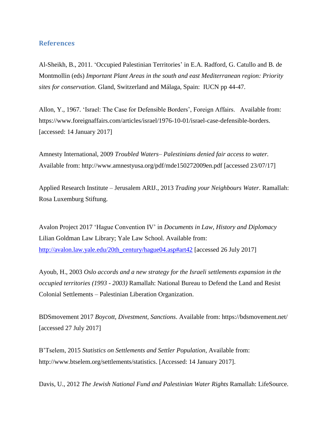# **References**

Al-Sheikh, B., 2011. 'Occupied Palestinian Territories' in E.A. Radford, G. Catullo and B. de Montmollin (eds) *Important Plant Areas in the south and east Mediterranean region: Priority sites for conservation*. Gland, Switzerland and Málaga, Spain: IUCN pp 44-47.

Allon, Y., 1967. 'Israel: The Case for Defensible Borders', Foreign Affairs. Available from: [https://www.foreignaffairs.com/articles/israel/1976-10-01/israel-case-defensible-borders.](https://www.foreignaffairs.com/articles/israel/1976-10-01/israel-case-defensible-borders) [accessed: 14 January 2017]

Amnesty International, 2009 *Troubled Waters– Palestinians denied fair access to water.*  Available from: http://www.amnestyusa.org/pdf/mde150272009en.pdf [accessed 23/07/17]

Applied Research Institute – Jerusalem ARIJ., 2013 *Trading your Neighbours Water*. Ramallah: Rosa Luxemburg Stiftung.

Avalon Project 2017 'Hague Convention IV' in *Documents in Law, History and Diplomacy* Lilian Goldman Law Library; Yale Law School. Available from: [http://avalon.law.yale.edu/20th\\_century/hague04.asp#art42](http://avalon.law.yale.edu/20th_century/hague04.asp#art42) [accessed 26 July 2017]

Ayoub, H., 2003 *Oslo accords and a new strategy for the Israeli settlements expansion in the occupied territories (1993 - 2003)* Ramallah: National Bureau to Defend the Land and Resist Colonial Settlements – Palestinian Liberation Organization.

BDSmovement 2017 *Boycott, Divestment, Sanctions*. Available from:<https://bdsmovement.net/> [accessed 27 July 2017]

B'Tselem, 2015 *Statistics on Settlements and Settler Population*, Available from: [http://www.btselem.org/settlements/statistics.](http://www.btselem.org/settlements/statistics) [Accessed: 14 January 2017].

Davis, U., 2012 *The Jewish National Fund and Palestinian Water Rights* Ramallah: LifeSource.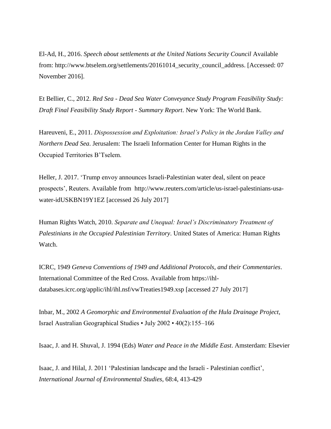El-Ad, H., 2016. *Speech about settlements at the United Nations Security Council* Available from: http://www.btselem.org/settlements/20161014\_security\_council\_address. [Accessed: 07 November 2016].

Et Bellier, C., 2012. *Red Sea - Dead Sea Water Conveyance Study Program Feasibility Study: Draft Final Feasibility Study Report - Summary Report*. New York: The World Bank.

Hareuveni, E., 2011. *Dispossession and Exploitation: Israel's Policy in the Jordan Valley and Northern Dead Sea*. Jerusalem: The Israeli Information Center for Human Rights in the Occupied Territories B'Tselem.

Heller, J. 2017. 'Trump envoy announces Israeli-Palestinian water deal, silent on peace prospects', Reuters. Available from [http://www.reuters.com/article/us-israel-palestinians-usa](http://www.reuters.com/article/us-israel-palestinians-usa-water-idUSKBN19Y1EZ)[water-idUSKBN19Y1EZ](http://www.reuters.com/article/us-israel-palestinians-usa-water-idUSKBN19Y1EZ) [accessed 26 July 2017]

Human Rights Watch, 2010. *Separate and Unequal: Israel's Discriminatory Treatment of Palestinians in the Occupied Palestinian Territory*. United States of America: Human Rights Watch.

ICRC, 1949 *Geneva Conventions of 1949 and Additional Protocols, and their Commentaries*. International Committee of the Red Cross. Available from [https://ihl](https://ihl-databases.icrc.org/applic/ihl/ihl.nsf/vwTreaties1949.xsp)[databases.icrc.org/applic/ihl/ihl.nsf/vwTreaties1949.xsp](https://ihl-databases.icrc.org/applic/ihl/ihl.nsf/vwTreaties1949.xsp) [accessed 27 July 2017]

Inbar, M., 2002 *A Geomorphic and Environmental Evaluation of the Hula Drainage Project*, Israel Australian Geographical Studies • July 2002 • 40(2):155–166

Isaac, J. and H. Shuval, J. 1994 (Eds) *Water and Peace in the Middle East*. Amsterdam: Elsevier

Isaac, J. and Hilal, J. 2011 'Palestinian landscape and the Israeli - Palestinian conflict', *International Journal of Environmental Studies*, 68:4, 413-429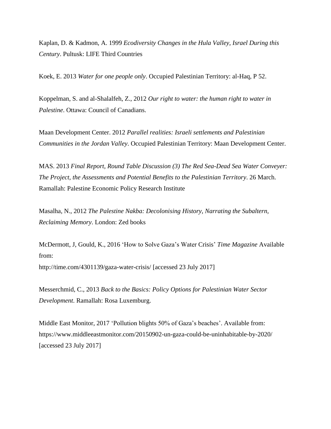Kaplan, D. & Kadmon, A. 1999 *Ecodiversity Changes in the Hula Valley, Israel During this Century*. Pultusk: LIFE Third Countries

Koek, E. 2013 *Water for one people only*. Occupied Palestinian Territory: al-Haq, P 52.

Koppelman, S. and al-Shalalfeh, Z., 2012 *Our right to water: the human right to water in Palestine*. Ottawa: Council of Canadians.

Maan Development Center. 2012 *Parallel realities: Israeli settlements and Palestinian Communities in the Jordan Valley*. Occupied Palestinian Territory: Maan Development Center.

MAS. 2013 *Final Report, Round Table Discussion (3) The Red Sea-Dead Sea Water Conveyer: The Project, the Assessments and Potential Benefits to the Palestinian Territory*. 26 March. Ramallah: Palestine Economic Policy Research Institute

Masalha, N., 2012 *The Palestine Nakba: Decolonising History, Narrating the Subaltern, Reclaiming Memory*. London: Zed books

McDermott, J, Gould, K., 2016 'How to Solve Gaza's Water Crisis' *Time Magazine* Available from: <http://time.com/4301139/gaza-water-crisis/> [accessed 23 July 2017]

Messerchmid, C., 2013 *Back to the Basics: Policy Options for Palestinian Water Sector Development*. Ramallah: Rosa Luxemburg.

Middle East Monitor, 2017 'Pollution blights 50% of Gaza's beaches'. Available from: https://www.middleeastmonitor.com/20150902-un-gaza-could-be-uninhabitable-by-2020/ [accessed 23 July 2017]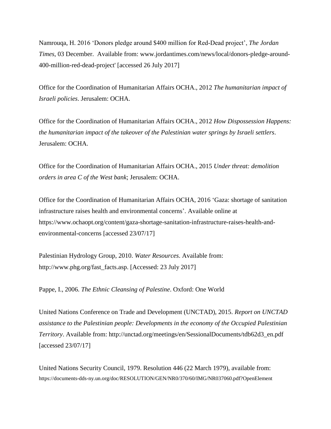Namrouqa, H. 2016 'Donors pledge around \$400 million for Red-Dead project', *The Jordan Times*, 03 December. Available from: www.jordantimes.com/news/local/donors-pledge-around-400-million-red-dead-project' [accessed 26 July 2017]

Office for the Coordination of Humanitarian Affairs OCHA., 2012 *The humanitarian impact of Israeli policies*. Jerusalem: OCHA.

Office for the Coordination of Humanitarian Affairs OCHA., 2012 *How Dispossession Happens: the humanitarian impact of the takeover of the Palestinian water springs by Israeli settlers*. Jerusalem: OCHA.

Office for the Coordination of Humanitarian Affairs OCHA., 2015 *Under threat: demolition orders in area C of the West bank*; Jerusalem: OCHA.

Office for the Coordination of Humanitarian Affairs OCHA, 2016 'Gaza: shortage of sanitation infrastructure raises health and environmental concerns'. Available online at [https://www.ochaopt.org/content/gaza-shortage-sanitation-infrastructure-raises-health-and](https://www.ochaopt.org/content/gaza-shortage-sanitation-infrastructure-raises-health-and-environmental-concerns)[environmental-concerns](https://www.ochaopt.org/content/gaza-shortage-sanitation-infrastructure-raises-health-and-environmental-concerns) [accessed 23/07/17]

Palestinian Hydrology Group, 2010. *Water Resources*. Available from: [http://www.phg.org/fast\\_facts.asp.](http://www.phg.org/fast_facts.asp) [Accessed: 23 July 2017]

Pappe, I., 2006. *The Ethnic Cleansing of Palestine*. Oxford: One World

United Nations Conference on Trade and Development (UNCTAD), 2015. *Report on UNCTAD assistance to the Palestinian people: Developments in the economy of the Occupied Palestinian Territory*. Available from: http://unctad.org/meetings/en/SessionalDocuments/tdb62d3\_en.pdf [accessed 23/07/17]

United Nations Security Council, 1979. Resolution 446 (22 March 1979), available from: <https://documents-dds-ny.un.org/doc/RESOLUTION/GEN/NR0/370/60/IMG/NR037060.pdf?OpenElement>